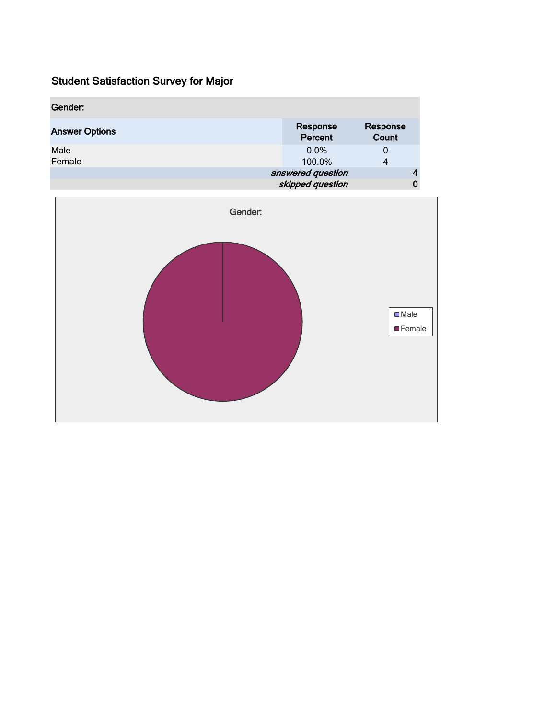| Gender:               |                                       |                   |
|-----------------------|---------------------------------------|-------------------|
| <b>Answer Options</b> | Response<br>Percent                   | Response<br>Count |
| Male<br>Female        | $0.0\%$<br>100.0%                     | $\bf{0}$<br>4     |
|                       | answered question<br>skipped question |                   |

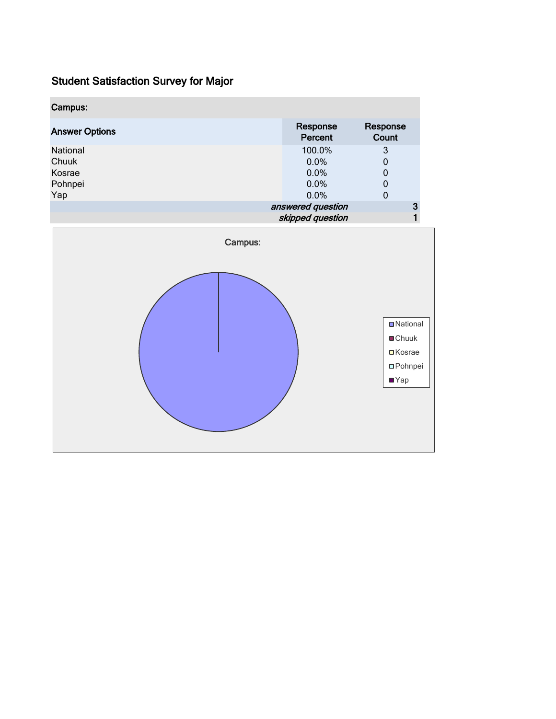| Campus:               |         |                                       |                   |   |
|-----------------------|---------|---------------------------------------|-------------------|---|
| <b>Answer Options</b> |         | Response<br>Percent                   | Response<br>Count |   |
| National              |         | 100.0%                                | $\sqrt{3}$        |   |
| Chuuk                 |         | 0.0%                                  | $\pmb{0}$         |   |
| Kosrae                |         | 0.0%                                  | $\pmb{0}$         |   |
| Pohnpei               |         | 0.0%                                  | $\pmb{0}$         |   |
| Yap                   |         | 0.0%                                  | $\mathbf 0$       |   |
|                       |         | answered question<br>skipped question | 3                 | 1 |
|                       |         |                                       |                   |   |
|                       | Campus: |                                       |                   |   |
|                       |         |                                       | <b>D</b> National |   |
|                       |         |                                       | ■Chuuk            |   |
|                       |         |                                       | <b>□</b> Kosrae   |   |
|                       |         |                                       | <b>O</b> Pohnpei  |   |
|                       |         |                                       | $\n  Yap\n$       |   |
|                       |         |                                       |                   |   |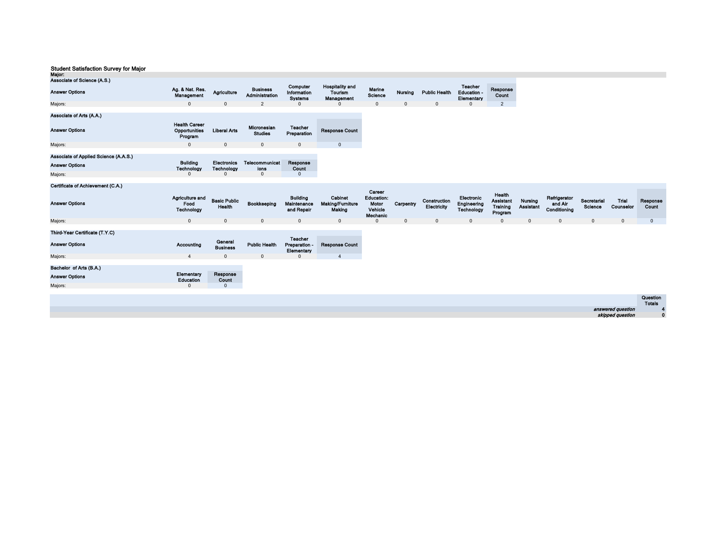| Major:                                                         |                                                  |                               |                                   |                                              |                                                 |                                                             |           |                             |                                                |                                                   |                             |                                         |                        |                    |                |
|----------------------------------------------------------------|--------------------------------------------------|-------------------------------|-----------------------------------|----------------------------------------------|-------------------------------------------------|-------------------------------------------------------------|-----------|-----------------------------|------------------------------------------------|---------------------------------------------------|-----------------------------|-----------------------------------------|------------------------|--------------------|----------------|
| Associate of Science (A.S.)                                    |                                                  |                               |                                   |                                              |                                                 |                                                             |           |                             |                                                |                                                   |                             |                                         |                        |                    |                |
| <b>Answer Options</b>                                          | Ag. & Nat. Res.<br>Management                    | Agriculture                   | <b>Business</b><br>Administration | Computer<br>Information<br><b>Systems</b>    | <b>Hospitality and</b><br>Tourism<br>Management | Marine<br>Science                                           | Nursing   | <b>Public Health</b>        | <b>Teacher</b><br>Education -<br>Elementary    | Response<br>Count                                 |                             |                                         |                        |                    |                |
| Majors:                                                        | $\Omega$                                         | $\Omega$                      | $\overline{2}$                    |                                              |                                                 | $\mathbf{0}$                                                | $\Omega$  | $\Omega$                    |                                                | $\overline{2}$                                    |                             |                                         |                        |                    |                |
| Associate of Arts (A.A.)                                       |                                                  |                               |                                   |                                              |                                                 |                                                             |           |                             |                                                |                                                   |                             |                                         |                        |                    |                |
| <b>Answer Options</b>                                          | <b>Health Career</b><br>Opportunities<br>Program | <b>Liberal Arts</b>           | Micronesian<br><b>Studies</b>     | <b>Teacher</b><br>Preparation                | <b>Response Count</b>                           |                                                             |           |                             |                                                |                                                   |                             |                                         |                        |                    |                |
| Majors:                                                        | $\mathbf{0}$                                     | $\mathbf 0$                   | $\mathbf 0$                       | $\mathbf{0}$                                 | $\overline{0}$                                  |                                                             |           |                             |                                                |                                                   |                             |                                         |                        |                    |                |
| Associate of Applied Science (A.A.S.)<br><b>Answer Options</b> | <b>Building</b>                                  | <b>Electronics</b>            | <b>Telecommunicat</b>             | Response                                     |                                                 |                                                             |           |                             |                                                |                                                   |                             |                                         |                        |                    |                |
|                                                                | Technology                                       | <b>Technology</b>             | ions                              | Count                                        |                                                 |                                                             |           |                             |                                                |                                                   |                             |                                         |                        |                    |                |
| Majors:                                                        | $\Omega$                                         |                               | $\Omega$                          | $\mathbf{0}$                                 |                                                 |                                                             |           |                             |                                                |                                                   |                             |                                         |                        |                    |                |
| Certificate of Achievement (C.A.)                              |                                                  |                               |                                   |                                              |                                                 |                                                             |           |                             |                                                |                                                   |                             |                                         |                        |                    |                |
| <b>Answer Options</b>                                          | Agriculture and<br>Food<br><b>Technology</b>     | <b>Basic Public</b><br>Health | Bookkeeping                       | <b>Building</b><br>Maintenance<br>and Repair | Cabinet<br><b>Making/Furniture</b><br>Making    | Career<br><b>Education:</b><br>Motor<br>Vehicle<br>Mechanic | Carpentry | Construction<br>Electricity | Electronic<br>Engineering<br><b>Technology</b> | Health<br><b>Assistant</b><br>Training<br>Program | Nursing<br><b>Assistant</b> | Refrigerator<br>and Air<br>Conditioning | Secretarial<br>Science | Trial<br>Counselor | Respon<br>Coun |
| Majors:                                                        | $\mathbf{0}$                                     | $\mathbf{0}$                  | $\mathbf{0}$                      | $\mathbf{0}$                                 | $\overline{0}$                                  | $\mathbf{0}$                                                | $\Omega$  | $\mathbf{0}$                | $\mathbf{0}$                                   | $\mathbf 0$                                       | $\Omega$                    | $\mathbf{0}$                            | $\mathbf{0}$           | $\mathbf{0}$       | $\mathbf{0}$   |
| Third-Year Certificate (T.Y.C)<br><b>Answer Options</b>        | Accounting                                       | General                       | <b>Public Health</b>              | <b>Teacher</b><br>Preparation -              | <b>Response Count</b>                           |                                                             |           |                             |                                                |                                                   |                             |                                         |                        |                    |                |
|                                                                |                                                  | <b>Business</b>               |                                   | Elementary                                   |                                                 |                                                             |           |                             |                                                |                                                   |                             |                                         |                        |                    |                |
| Majors:                                                        | $\overline{4}$                                   | $\mathbf 0$                   | $\mathbf 0$                       | 0                                            | $\overline{4}$                                  |                                                             |           |                             |                                                |                                                   |                             |                                         |                        |                    |                |

Majors: Answer Options Bachelor of Arts (B.A.)

Elementary Response<br>
Education Count<br>
0 0

|                   | Question      |
|-------------------|---------------|
|                   | <b>Totals</b> |
| answered question |               |
| skipped question  |               |

Secretarial Trial Response<br>Science Counselor Count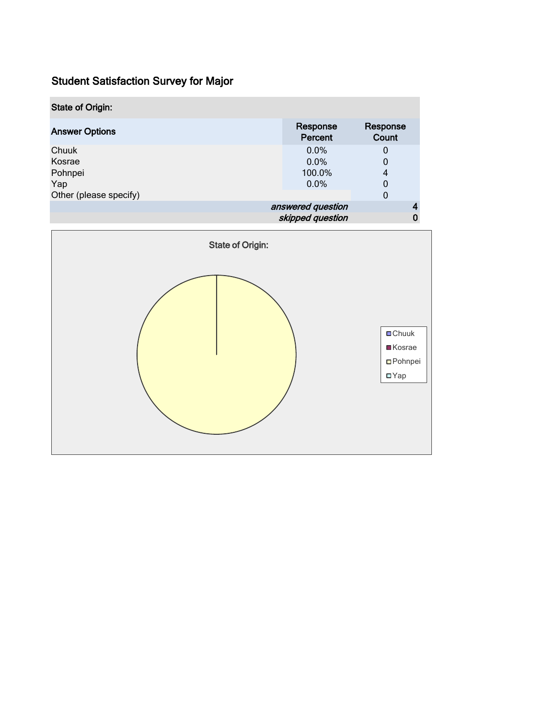| <b>State of Origin:</b> |                   |                     |                   |   |  |
|-------------------------|-------------------|---------------------|-------------------|---|--|
| <b>Answer Options</b>   |                   | Response<br>Percent | Response<br>Count |   |  |
| Chuuk                   |                   | 0.0%                | 0                 |   |  |
| Kosrae                  |                   | 0.0%                | 0                 |   |  |
| Pohnpei                 |                   | 100.0%              | 4                 |   |  |
| Yap                     |                   | $0.0\%$             | 0                 |   |  |
| Other (please specify)  |                   |                     | 0                 |   |  |
|                         | answered question |                     |                   |   |  |
|                         |                   | skipped question    |                   | 0 |  |